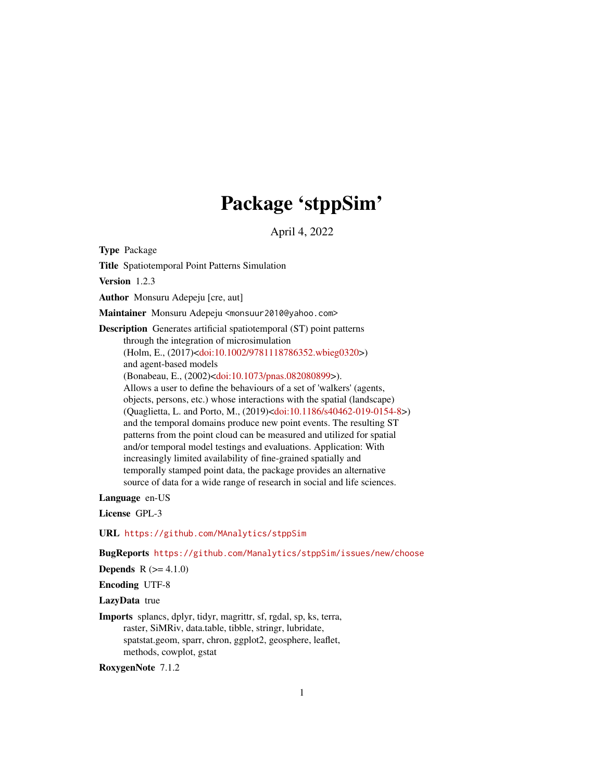# Package 'stppSim'

April 4, 2022

Type Package

Title Spatiotemporal Point Patterns Simulation

Version 1.2.3

Author Monsuru Adepeju [cre, aut]

Maintainer Monsuru Adepeju <monsuur2010@yahoo.com>

Description Generates artificial spatiotemporal (ST) point patterns through the integration of microsimulation (Holm, E., (2017)[<doi:10.1002/9781118786352.wbieg0320>](https://doi.org/10.1002/9781118786352.wbieg0320)) and agent-based models (Bonabeau, E., (2002)[<doi:10.1073/pnas.082080899>](https://doi.org/10.1073/pnas.082080899)). Allows a user to define the behaviours of a set of 'walkers' (agents, objects, persons, etc.) whose interactions with the spatial (landscape) (Quaglietta, L. and Porto, M., (2019)[<doi:10.1186/s40462-019-0154-8>](https://doi.org/10.1186/s40462-019-0154-8)) and the temporal domains produce new point events. The resulting ST patterns from the point cloud can be measured and utilized for spatial and/or temporal model testings and evaluations. Application: With increasingly limited availability of fine-grained spatially and temporally stamped point data, the package provides an alternative source of data for a wide range of research in social and life sciences.

Language en-US

License GPL-3

URL <https://github.com/MAnalytics/stppSim>

BugReports <https://github.com/Manalytics/stppSim/issues/new/choose>

**Depends**  $R (= 4.1.0)$ 

Encoding UTF-8

LazyData true

Imports splancs, dplyr, tidyr, magrittr, sf, rgdal, sp, ks, terra, raster, SiMRiv, data.table, tibble, stringr, lubridate, spatstat.geom, sparr, chron, ggplot2, geosphere, leaflet, methods, cowplot, gstat

RoxygenNote 7.1.2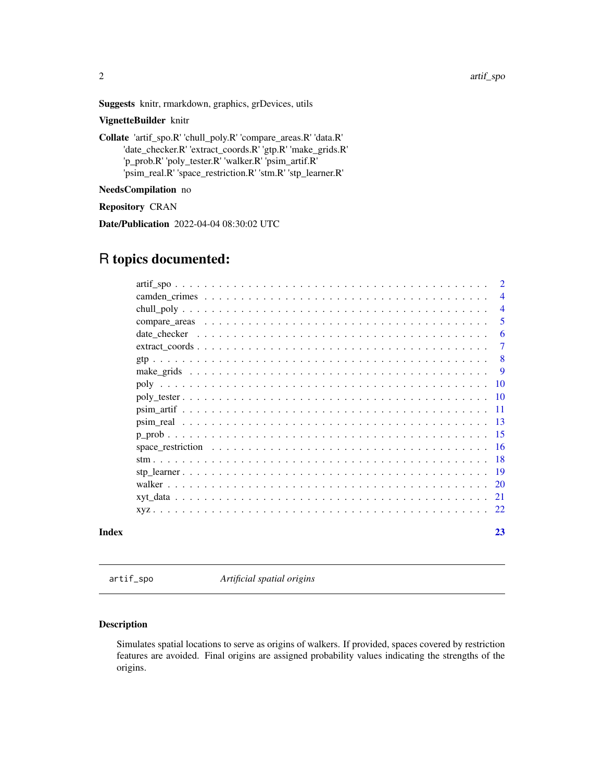<span id="page-1-0"></span>Suggests knitr, rmarkdown, graphics, grDevices, utils

# VignetteBuilder knitr

Collate 'artif\_spo.R' 'chull\_poly.R' 'compare\_areas.R' 'data.R' 'date\_checker.R' 'extract\_coords.R' 'gtp.R' 'make\_grids.R' 'p\_prob.R' 'poly\_tester.R' 'walker.R' 'psim\_artif.R' 'psim\_real.R' 'space\_restriction.R' 'stm.R' 'stp\_learner.R'

# NeedsCompilation no

Repository CRAN

Date/Publication 2022-04-04 08:30:02 UTC

# R topics documented:

|       | <sup>2</sup>   |
|-------|----------------|
|       | $\overline{4}$ |
|       | $\overline{4}$ |
|       | .5             |
|       | 6              |
|       | $\tau$         |
|       | -8             |
|       | - 9            |
|       |                |
|       |                |
|       |                |
|       |                |
|       |                |
|       |                |
|       |                |
|       |                |
|       |                |
|       |                |
|       |                |
| Index | 23             |

artif\_spo *Artificial spatial origins*

# Description

Simulates spatial locations to serve as origins of walkers. If provided, spaces covered by restriction features are avoided. Final origins are assigned probability values indicating the strengths of the origins.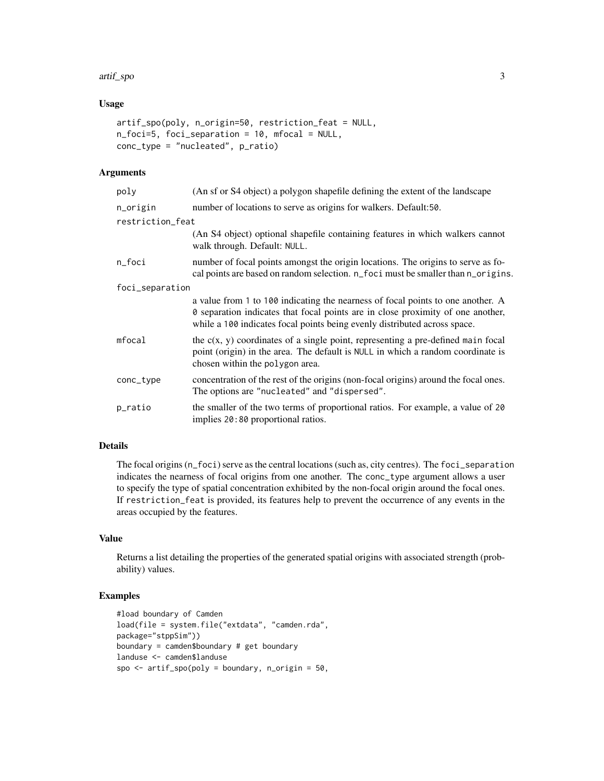#### artif\_spo 3

# Usage

```
artif_spo(poly, n_origin=50, restriction_feat = NULL,
n_foci=5, foci_separation = 10, mfocal = NULL,
conc_type = "nucleated", p_ratio)
```
# Arguments

| poly             | (An sf or S4 object) a polygon shapefile defining the extent of the landscape                                                                                                                                                                   |
|------------------|-------------------------------------------------------------------------------------------------------------------------------------------------------------------------------------------------------------------------------------------------|
| n_origin         | number of locations to serve as origins for walkers. Default:50.                                                                                                                                                                                |
| restriction_feat |                                                                                                                                                                                                                                                 |
|                  | (An S4 object) optional shapefile containing features in which walkers cannot<br>walk through. Default: NULL.                                                                                                                                   |
| n_foci           | number of focal points amongst the origin locations. The origins to serve as fo-<br>cal points are based on random selection. n_foci must be smaller than n_origins.                                                                            |
| foci_separation  |                                                                                                                                                                                                                                                 |
|                  | a value from 1 to 100 indicating the nearness of focal points to one another. A<br>0 separation indicates that focal points are in close proximity of one another,<br>while a 100 indicates focal points being evenly distributed across space. |
| mfocal           | the $c(x, y)$ coordinates of a single point, representing a pre-defined main focal<br>point (origin) in the area. The default is NULL in which a random coordinate is<br>chosen within the polygon area.                                        |
| conc_type        | concentration of the rest of the origins (non-focal origins) around the focal ones.<br>The options are "nucleated" and "dispersed".                                                                                                             |
| p_ratio          | the smaller of the two terms of proportional ratios. For example, a value of 20<br>implies 20:80 proportional ratios.                                                                                                                           |

# Details

The focal origins (n\_foci) serve as the central locations (such as, city centres). The foci\_separation indicates the nearness of focal origins from one another. The conc\_type argument allows a user to specify the type of spatial concentration exhibited by the non-focal origin around the focal ones. If restriction\_feat is provided, its features help to prevent the occurrence of any events in the areas occupied by the features.

#### Value

Returns a list detailing the properties of the generated spatial origins with associated strength (probability) values.

```
#load boundary of Camden
load(file = system.file("extdata", "camden.rda",
package="stppSim"))
boundary = camden$boundary # get boundary
landuse <- camden$landuse
spo \le - artif_spo(poly = boundary, n_origin = 50,
```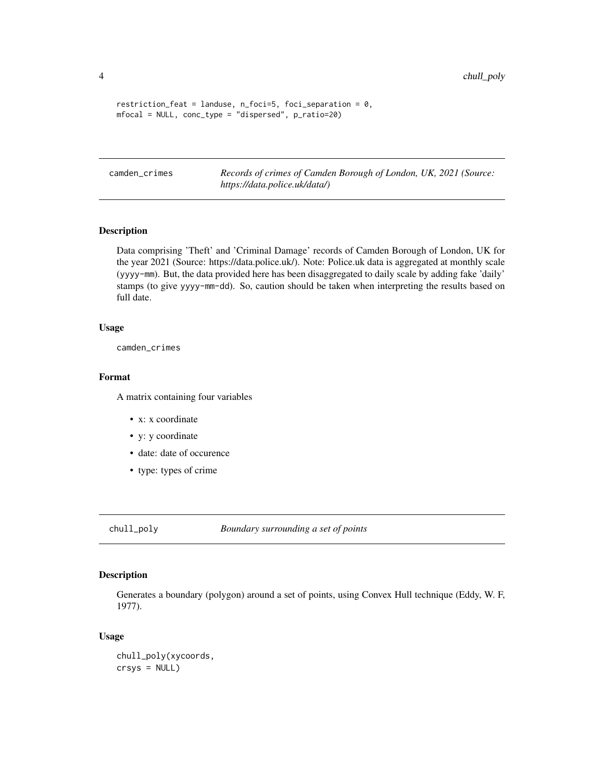```
restriction_feat = landuse, n_foci=5, foci_separation = 0,
mfocal = NULL, conc_type = "dispersed", p_ratio=20)
```
camden\_crimes *Records of crimes of Camden Borough of London, UK, 2021 (Source: https://data.police.uk/data/)*

#### Description

Data comprising 'Theft' and 'Criminal Damage' records of Camden Borough of London, UK for the year 2021 (Source: https://data.police.uk/). Note: Police.uk data is aggregated at monthly scale (yyyy-mm). But, the data provided here has been disaggregated to daily scale by adding fake 'daily' stamps (to give yyyy-mm-dd). So, caution should be taken when interpreting the results based on full date.

#### Usage

camden\_crimes

#### Format

A matrix containing four variables

- x: x coordinate
- y: y coordinate
- date: date of occurence
- type: types of crime

chull\_poly *Boundary surrounding a set of points*

# Description

Generates a boundary (polygon) around a set of points, using Convex Hull technique (Eddy, W. F, 1977).

#### Usage

```
chull_poly(xycoords,
crsys = NULL)
```
<span id="page-3-0"></span>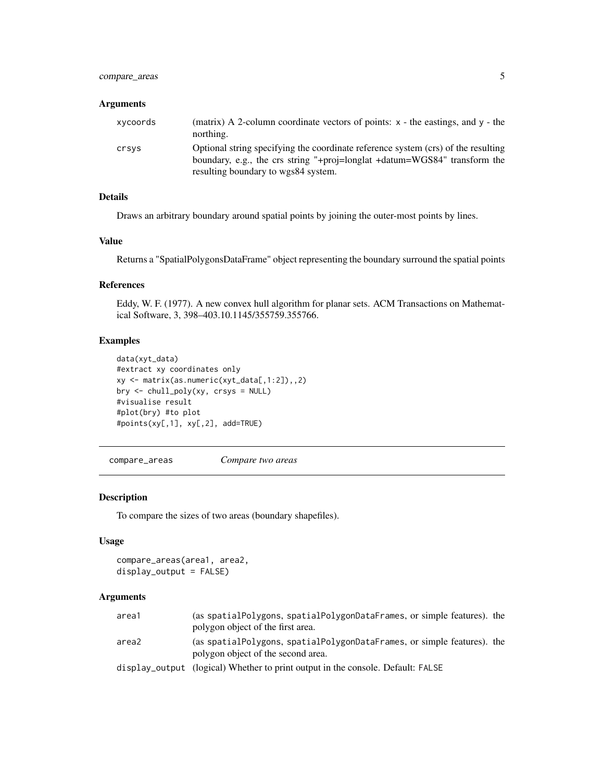# <span id="page-4-0"></span>compare\_areas 5

#### Arguments

| xycoords | (matrix) A 2-column coordinate vectors of points: $x -$ the eastings, and $y -$ the<br>northing.                                                                                                      |
|----------|-------------------------------------------------------------------------------------------------------------------------------------------------------------------------------------------------------|
| crsys    | Optional string specifying the coordinate reference system (crs) of the resulting<br>boundary, e.g., the crs string "+proj=longlat +datum=WGS84" transform the<br>resulting boundary to wgs84 system. |

# Details

Draws an arbitrary boundary around spatial points by joining the outer-most points by lines.

# Value

Returns a "SpatialPolygonsDataFrame" object representing the boundary surround the spatial points

# References

Eddy, W. F. (1977). A new convex hull algorithm for planar sets. ACM Transactions on Mathematical Software, 3, 398–403.10.1145/355759.355766.

# Examples

```
data(xyt_data)
#extract xy coordinates only
xy \leftarrow matrix(as.numeric(xyt_data[, 1:2]),, 2)
bry <- chull_poly(xy, crsys = NULL)
#visualise result
#plot(bry) #to plot
#points(xy[,1], xy[,2], add=TRUE)
```
compare\_areas *Compare two areas*

#### Description

To compare the sizes of two areas (boundary shapefiles).

#### Usage

```
compare_areas(area1, area2,
display_output = FALSE)
```
# Arguments

| area1 | (as spatial Polygons, spatial Polygon Data Frames, or simple features). the                                       |  |
|-------|-------------------------------------------------------------------------------------------------------------------|--|
|       | polygon object of the first area.                                                                                 |  |
| area2 | (as spatial Polygons, spatial Polygon Data Frames, or simple features). the<br>polygon object of the second area. |  |
|       | display_output (logical) Whether to print output in the console. Default: FALSE                                   |  |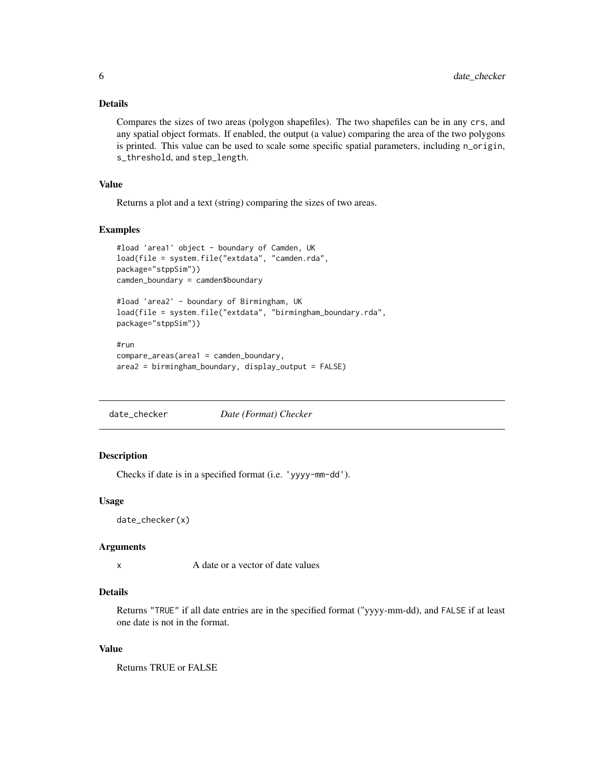# <span id="page-5-0"></span>Details

Compares the sizes of two areas (polygon shapefiles). The two shapefiles can be in any crs, and any spatial object formats. If enabled, the output (a value) comparing the area of the two polygons is printed. This value can be used to scale some specific spatial parameters, including n\_origin, s\_threshold, and step\_length.

#### Value

Returns a plot and a text (string) comparing the sizes of two areas.

#### Examples

```
#load 'area1' object - boundary of Camden, UK
load(file = system.file("extdata", "camden.rda",
package="stppSim"))
camden_boundary = camden$boundary
#load 'area2' - boundary of Birmingham, UK
load(file = system.file("extdata", "birmingham_boundary.rda",
package="stppSim"))
#run
compare_areas(area1 = camden_boundary,
area2 = birmingham_boundary, display_output = FALSE)
```
date\_checker *Date (Format) Checker*

# Description

Checks if date is in a specified format (i.e. 'yyyy-mm-dd').

#### Usage

```
date_checker(x)
```
# Arguments

x A date or a vector of date values

# Details

Returns "TRUE" if all date entries are in the specified format ("yyyy-mm-dd), and FALSE if at least one date is not in the format.

#### Value

Returns TRUE or FALSE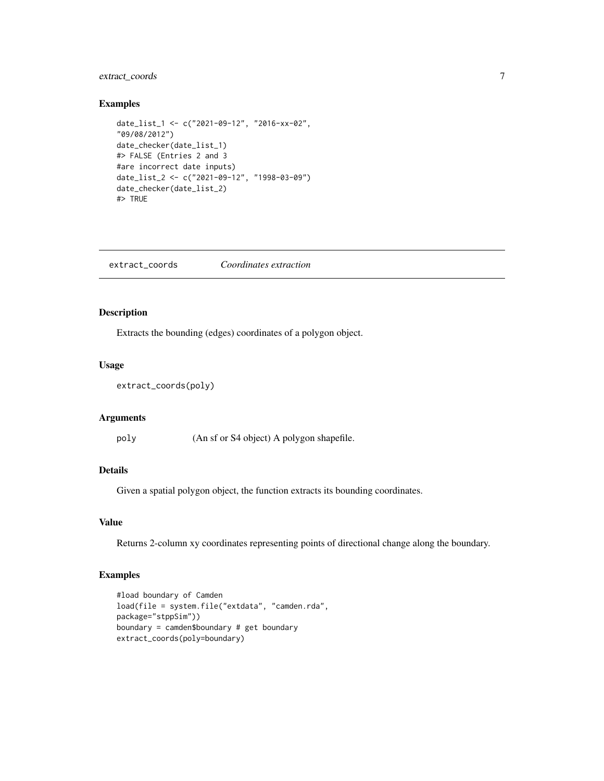# <span id="page-6-0"></span>extract\_coords 7

#### Examples

```
date_list_1 <- c("2021-09-12", "2016-xx-02",
"09/08/2012")
date_checker(date_list_1)
#> FALSE (Entries 2 and 3
#are incorrect date inputs)
date_list_2 <- c("2021-09-12", "1998-03-09")
date_checker(date_list_2)
#> TRUE
```
extract\_coords *Coordinates extraction*

# Description

Extracts the bounding (edges) coordinates of a polygon object.

# Usage

```
extract_coords(poly)
```
# Arguments

poly (An sf or S4 object) A polygon shapefile.

# Details

Given a spatial polygon object, the function extracts its bounding coordinates.

# Value

Returns 2-column xy coordinates representing points of directional change along the boundary.

```
#load boundary of Camden
load(file = system.file("extdata", "camden.rda",
package="stppSim"))
boundary = camden$boundary # get boundary
extract_coords(poly=boundary)
```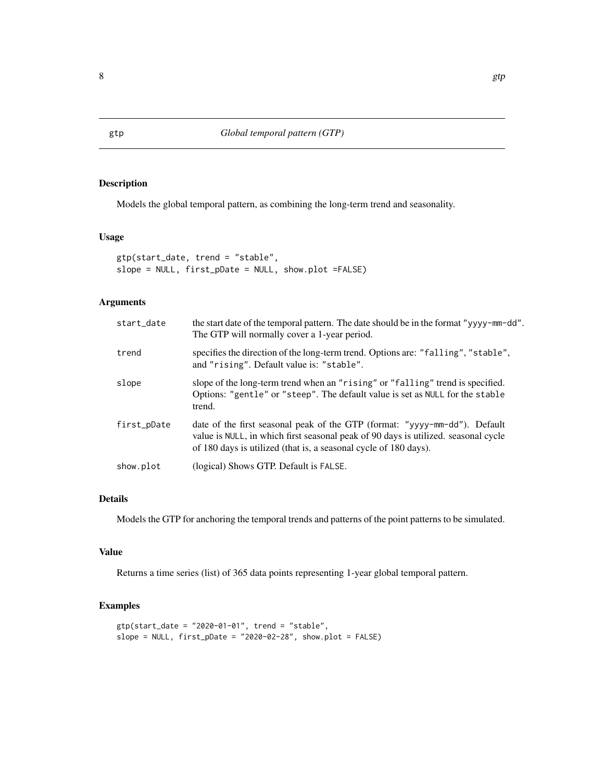Models the global temporal pattern, as combining the long-term trend and seasonality.

# Usage

```
gtp(start_date, trend = "stable",
slope = NULL, first_pDate = NULL, show.plot =FALSE)
```
# Arguments

| start_date  | the start date of the temporal pattern. The date should be in the format "yyyy-mm-dd".<br>The GTP will normally cover a 1-year period.                                                                                               |
|-------------|--------------------------------------------------------------------------------------------------------------------------------------------------------------------------------------------------------------------------------------|
| trend       | specifies the direction of the long-term trend. Options are: "falling", "stable",<br>and "rising". Default value is: "stable".                                                                                                       |
| slope       | slope of the long-term trend when an "rising" or "falling" trend is specified.<br>Options: "gentle" or "steep". The default value is set as NULL for the stable<br>trend.                                                            |
| first_pDate | date of the first seasonal peak of the GTP (format: "yyyy-mm-dd"). Default<br>value is NULL, in which first seasonal peak of 90 days is utilized. seasonal cycle<br>of 180 days is utilized (that is, a seasonal cycle of 180 days). |
| show.plot   | (logical) Shows GTP. Default is FALSE.                                                                                                                                                                                               |

# Details

Models the GTP for anchoring the temporal trends and patterns of the point patterns to be simulated.

# Value

Returns a time series (list) of 365 data points representing 1-year global temporal pattern.

```
gtp(start_date = "2020-01-01", trend = "stable",
slope = NULL, first\_plate = "2020-02-28", show.plot = FALSE)
```
<span id="page-7-0"></span>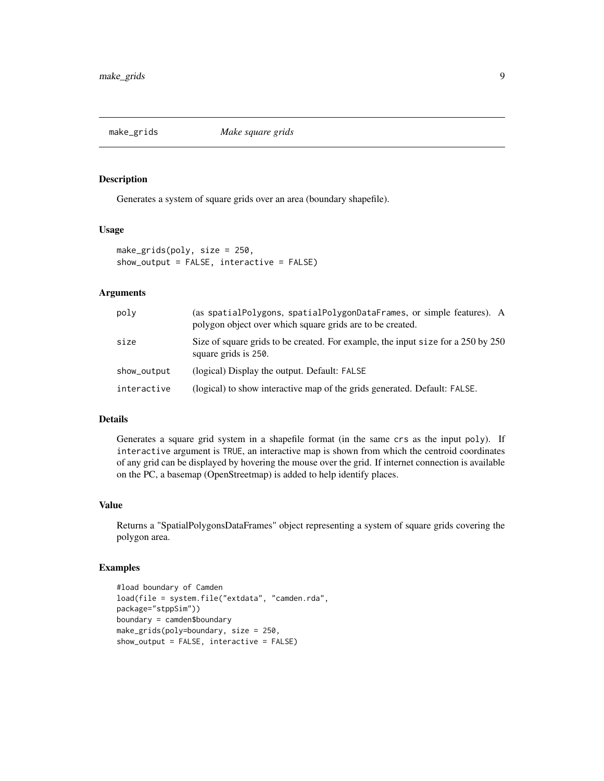<span id="page-8-0"></span>

Generates a system of square grids over an area (boundary shapefile).

#### Usage

```
make_grids(poly, size = 250,
show_output = FALSE, interactive = FALSE)
```
# Arguments

| poly        | (as spatialPolygons, spatialPolygonDataFrames, or simple features). A<br>polygon object over which square grids are to be created. |
|-------------|------------------------------------------------------------------------------------------------------------------------------------|
| size        | Size of square grids to be created. For example, the input size for a 250 by 250<br>square grids is 250.                           |
| show_output | (logical) Display the output. Default: FALSE                                                                                       |
| interactive | (logical) to show interactive map of the grids generated. Default: FALSE.                                                          |

#### Details

Generates a square grid system in a shapefile format (in the same crs as the input poly). If interactive argument is TRUE, an interactive map is shown from which the centroid coordinates of any grid can be displayed by hovering the mouse over the grid. If internet connection is available on the PC, a basemap (OpenStreetmap) is added to help identify places.

#### Value

Returns a "SpatialPolygonsDataFrames" object representing a system of square grids covering the polygon area.

```
#load boundary of Camden
load(file = system.file("extdata", "camden.rda",
package="stppSim"))
boundary = camden$boundary
make_grids(poly=boundary, size = 250,
show_output = FALSE, interactive = FALSE)
```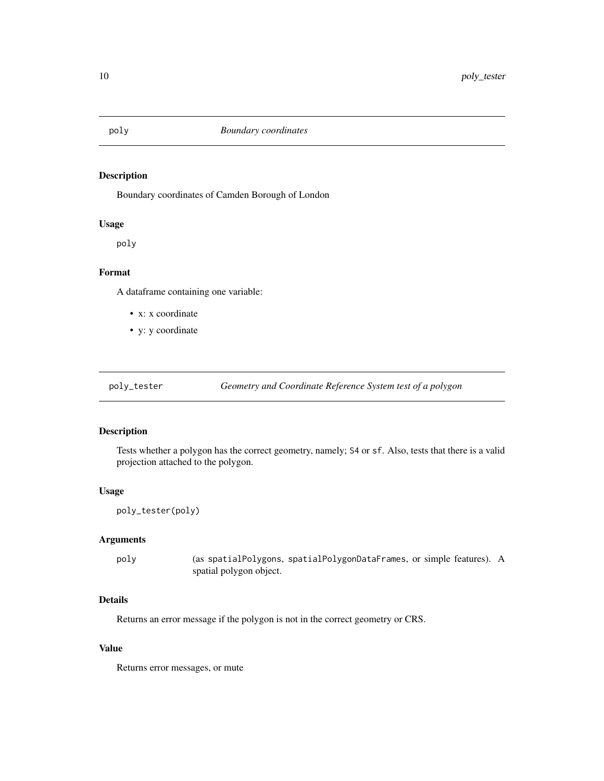<span id="page-9-0"></span>

Boundary coordinates of Camden Borough of London

#### Usage

poly

# Format

A dataframe containing one variable:

- x: x coordinate
- y: y coordinate

# Description

Tests whether a polygon has the correct geometry, namely; S4 or sf. Also, tests that there is a valid projection attached to the polygon.

#### Usage

```
poly_tester(poly)
```
# Arguments

poly (as spatialPolygons, spatialPolygonDataFrames, or simple features). A spatial polygon object.

# Details

Returns an error message if the polygon is not in the correct geometry or CRS.

#### Value

Returns error messages, or mute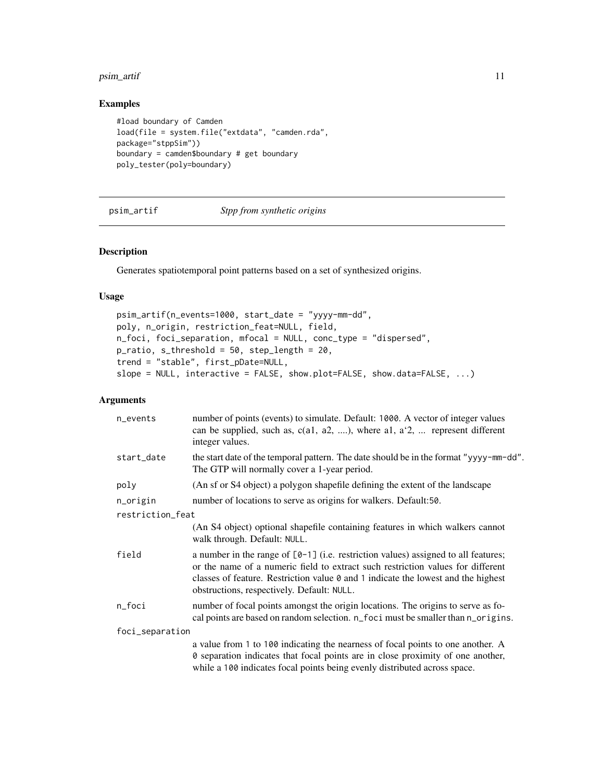# <span id="page-10-0"></span>psim\_artif 11

# Examples

```
#load boundary of Camden
load(file = system.file("extdata", "camden.rda",
package="stppSim"))
boundary = camden$boundary # get boundary
poly_tester(poly=boundary)
```
psim\_artif *Stpp from synthetic origins*

#### Description

Generates spatiotemporal point patterns based on a set of synthesized origins.

#### Usage

```
psim_artif(n_events=1000, start_date = "yyyy-mm-dd",
poly, n_origin, restriction_feat=NULL, field,
n_foci, foci_separation, mfocal = NULL, conc_type = "dispersed",
p_ratio, s_threshold = 50, step_length = 20,
trend = "stable", first_pDate=NULL,
slope = NULL, interactive = FALSE, show.plot=FALSE, show.data=FALSE, ...)
```
# Arguments

| n_events         | number of points (events) to simulate. Default: 1000. A vector of integer values<br>can be supplied, such as, $c(a1, a2, \ldots)$ , where a1, $a2$ ,  represent different<br>integer values.                                                                                                               |
|------------------|------------------------------------------------------------------------------------------------------------------------------------------------------------------------------------------------------------------------------------------------------------------------------------------------------------|
| start_date       | the start date of the temporal pattern. The date should be in the format "yyyy-mm-dd".<br>The GTP will normally cover a 1-year period.                                                                                                                                                                     |
| poly             | (An sf or S4 object) a polygon shapefile defining the extent of the landscape                                                                                                                                                                                                                              |
| n_origin         | number of locations to serve as origins for walkers. Default:50.                                                                                                                                                                                                                                           |
| restriction_feat |                                                                                                                                                                                                                                                                                                            |
|                  | (An S4 object) optional shapefile containing features in which walkers cannot<br>walk through. Default: NULL.                                                                                                                                                                                              |
| field            | a number in the range of $[0-1]$ (i.e. restriction values) assigned to all features;<br>or the name of a numeric field to extract such restriction values for different<br>classes of feature. Restriction value 0 and 1 indicate the lowest and the highest<br>obstructions, respectively. Default: NULL. |
| n_foci           | number of focal points amongst the origin locations. The origins to serve as fo-<br>cal points are based on random selection. n_foci must be smaller than n_origins.                                                                                                                                       |
| foci_separation  |                                                                                                                                                                                                                                                                                                            |
|                  | a value from 1 to 100 indicating the nearness of focal points to one another. A<br>0 separation indicates that focal points are in close proximity of one another,<br>while a 100 indicates focal points being evenly distributed across space.                                                            |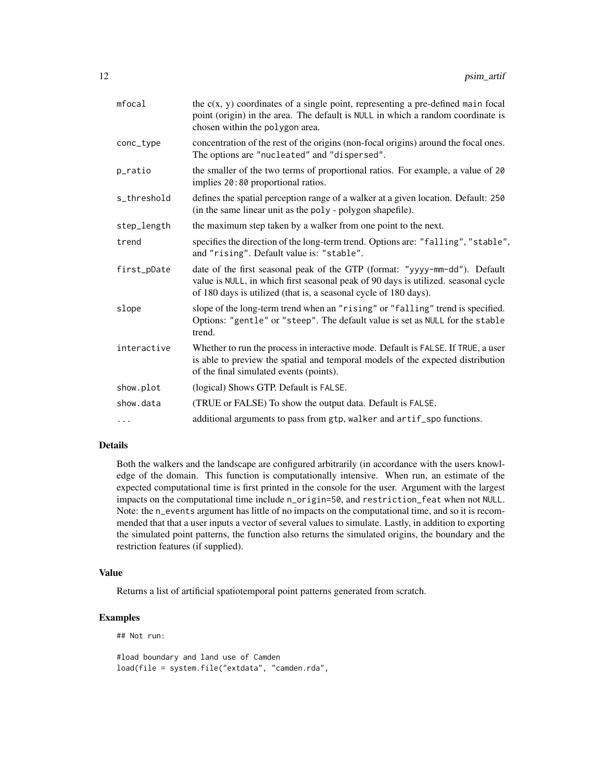| mfocal      | the $c(x, y)$ coordinates of a single point, representing a pre-defined main focal<br>point (origin) in the area. The default is NULL in which a random coordinate is<br>chosen within the polygon area.                             |
|-------------|--------------------------------------------------------------------------------------------------------------------------------------------------------------------------------------------------------------------------------------|
| conc_type   | concentration of the rest of the origins (non-focal origins) around the focal ones.<br>The options are "nucleated" and "dispersed".                                                                                                  |
| p_ratio     | the smaller of the two terms of proportional ratios. For example, a value of 20<br>implies 20:80 proportional ratios.                                                                                                                |
| s_threshold | defines the spatial perception range of a walker at a given location. Default: 250<br>(in the same linear unit as the poly - polygon shapefile).                                                                                     |
| step_length | the maximum step taken by a walker from one point to the next.                                                                                                                                                                       |
| trend       | specifies the direction of the long-term trend. Options are: "falling", "stable",<br>and "rising". Default value is: "stable".                                                                                                       |
| first_pDate | date of the first seasonal peak of the GTP (format: "yyyy-mm-dd"). Default<br>value is NULL, in which first seasonal peak of 90 days is utilized. seasonal cycle<br>of 180 days is utilized (that is, a seasonal cycle of 180 days). |
| slope       | slope of the long-term trend when an "rising" or "falling" trend is specified.<br>Options: "gentle" or "steep". The default value is set as NULL for the stable<br>trend.                                                            |
| interactive | Whether to run the process in interactive mode. Default is FALSE. If TRUE, a user<br>is able to preview the spatial and temporal models of the expected distribution<br>of the final simulated events (points).                      |
| show.plot   | (logical) Shows GTP. Default is FALSE.                                                                                                                                                                                               |
| show.data   | (TRUE or FALSE) To show the output data. Default is FALSE.                                                                                                                                                                           |
| .           | additional arguments to pass from gtp, walker and artif_spo functions.                                                                                                                                                               |
|             |                                                                                                                                                                                                                                      |

# Details

Both the walkers and the landscape are configured arbitrarily (in accordance with the users knowledge of the domain. This function is computationally intensive. When run, an estimate of the expected computational time is first printed in the console for the user. Argument with the largest impacts on the computational time include n\_origin=50, and restriction\_feat when not NULL. Note: the n\_events argument has little of no impacts on the computational time, and so it is recommended that that a user inputs a vector of several values to simulate. Lastly, in addition to exporting the simulated point patterns, the function also returns the simulated origins, the boundary and the restriction features (if supplied).

#### Value

Returns a list of artificial spatiotemporal point patterns generated from scratch.

# Examples

## Not run:

#load boundary and land use of Camden load(file = system.file("extdata", "camden.rda",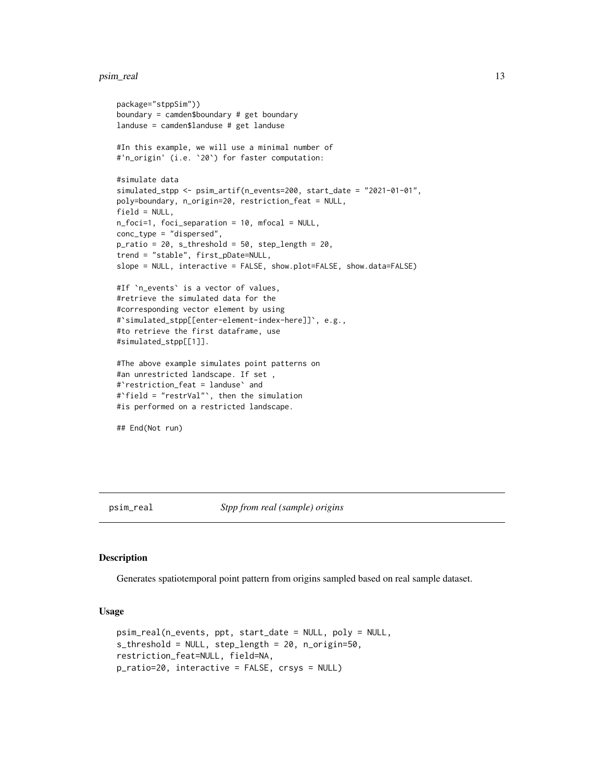#### <span id="page-12-0"></span>psim\_real 13

```
package="stppSim"))
boundary = camden$boundary # get boundary
landuse = camden$landuse # get landuse
#In this example, we will use a minimal number of
#'n_origin' (i.e. `20`) for faster computation:
#simulate data
simulated_stpp <- psim_artif(n_events=200, start_date = "2021-01-01",
poly=boundary, n_origin=20, restriction_feat = NULL,
field = NULL,
n_foci=1, foci_separation = 10, mfocal = NULL,
conc_type = "dispersed",
p_{\text{ratio}} = 20, s_threshold = 50, step_length = 20,
trend = "stable", first_pDate=NULL,
slope = NULL, interactive = FALSE, show.plot=FALSE, show.data=FALSE)
#If `n_events` is a vector of values,
#retrieve the simulated data for the
#corresponding vector element by using
#`simulated_stpp[[enter-element-index-here]]`, e.g.,
#to retrieve the first dataframe, use
#simulated_stpp[[1]].
#The above example simulates point patterns on
#an unrestricted landscape. If set ,
#`restriction_feat = landuse` and
#`field = "restrVal"`, then the simulation
#is performed on a restricted landscape.
```
## End(Not run)

psim\_real *Stpp from real (sample) origins*

# Description

Generates spatiotemporal point pattern from origins sampled based on real sample dataset.

#### Usage

```
psim_real(n_events, ppt, start_date = NULL, poly = NULL,
s_threshold = NULL, step_length = 20, n_origin=50,
restriction_feat=NULL, field=NA,
p_ratio=20, interactive = FALSE, crsys = NULL)
```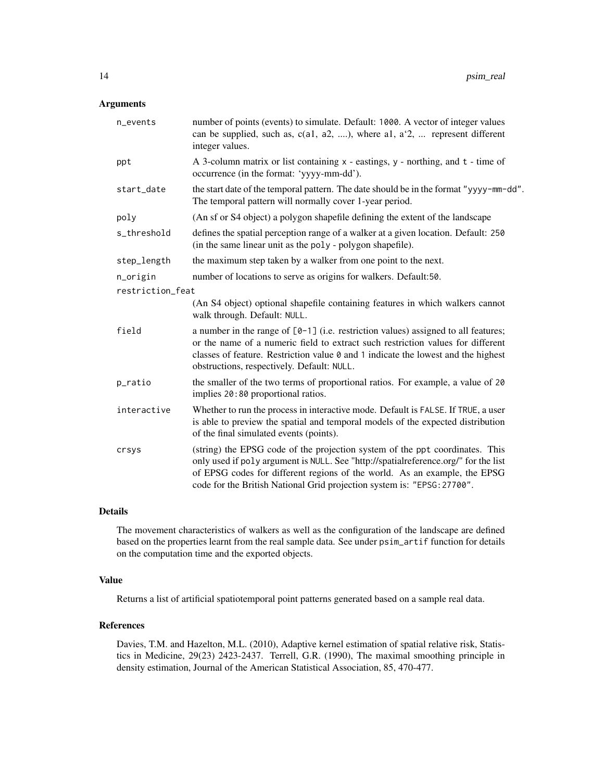# Arguments

| n_events         | number of points (events) to simulate. Default: 1000. A vector of integer values<br>can be supplied, such as, $c(a1, a2, \ldots)$ , where al, $a'2, \ldots$ represent different<br>integer values.                                                                                                                          |
|------------------|-----------------------------------------------------------------------------------------------------------------------------------------------------------------------------------------------------------------------------------------------------------------------------------------------------------------------------|
| ppt              | A 3-column matrix or list containing $x -$ eastings, $y -$ northing, and $t -$ time of<br>occurrence (in the format: 'yyyy-mm-dd').                                                                                                                                                                                         |
| start_date       | the start date of the temporal pattern. The date should be in the format "yyyy-mm-dd".<br>The temporal pattern will normally cover 1-year period.                                                                                                                                                                           |
| poly             | (An sf or S4 object) a polygon shapefile defining the extent of the landscape                                                                                                                                                                                                                                               |
| s_threshold      | defines the spatial perception range of a walker at a given location. Default: 250<br>(in the same linear unit as the poly - polygon shapefile).                                                                                                                                                                            |
| step_length      | the maximum step taken by a walker from one point to the next.                                                                                                                                                                                                                                                              |
| n_origin         | number of locations to serve as origins for walkers. Default:50.                                                                                                                                                                                                                                                            |
| restriction_feat |                                                                                                                                                                                                                                                                                                                             |
|                  | (An S4 object) optional shapefile containing features in which walkers cannot<br>walk through. Default: NULL.                                                                                                                                                                                                               |
| field            | a number in the range of $[0-1]$ (i.e. restriction values) assigned to all features;<br>or the name of a numeric field to extract such restriction values for different<br>classes of feature. Restriction value 0 and 1 indicate the lowest and the highest<br>obstructions, respectively. Default: NULL.                  |
| p_ratio          | the smaller of the two terms of proportional ratios. For example, a value of 20<br>implies 20:80 proportional ratios.                                                                                                                                                                                                       |
| interactive      | Whether to run the process in interactive mode. Default is FALSE. If TRUE, a user<br>is able to preview the spatial and temporal models of the expected distribution<br>of the final simulated events (points).                                                                                                             |
| crsys            | (string) the EPSG code of the projection system of the ppt coordinates. This<br>only used if poly argument is NULL. See "http://spatialreference.org/" for the list<br>of EPSG codes for different regions of the world. As an example, the EPSG<br>code for the British National Grid projection system is: "EPSG: 27700". |

# Details

The movement characteristics of walkers as well as the configuration of the landscape are defined based on the properties learnt from the real sample data. See under psim\_artif function for details on the computation time and the exported objects.

# Value

Returns a list of artificial spatiotemporal point patterns generated based on a sample real data.

# References

Davies, T.M. and Hazelton, M.L. (2010), Adaptive kernel estimation of spatial relative risk, Statistics in Medicine, 29(23) 2423-2437. Terrell, G.R. (1990), The maximal smoothing principle in density estimation, Journal of the American Statistical Association, 85, 470-477.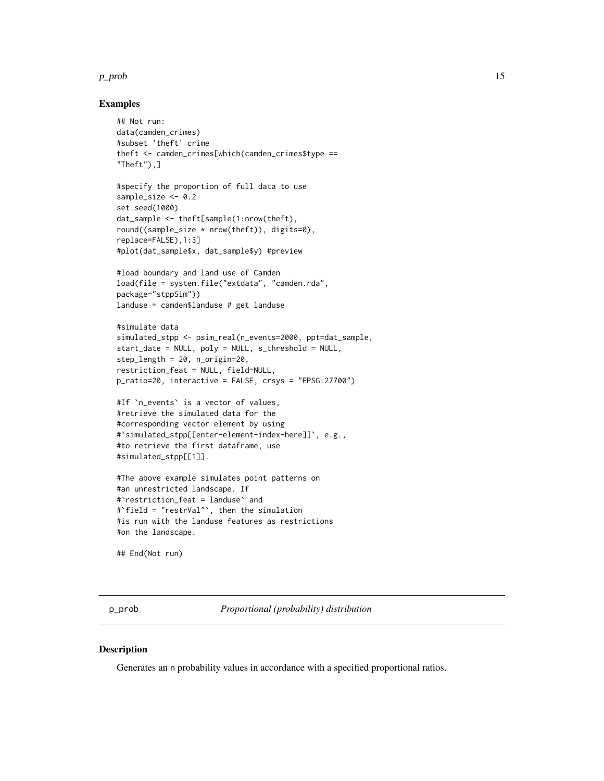#### <span id="page-14-0"></span> $p\_prob$  15

# Examples

```
## Not run:
data(camden_crimes)
#subset 'theft' crime
theft <- camden_crimes[which(camden_crimes$type ==
"Theft"),]
```

```
#specify the proportion of full data to use
sample_size <- 0.2
set.seed(1000)
dat_sample <- theft[sample(1:nrow(theft),
round((sample_size * nrow(theft)), digits=0),
replace=FALSE),1:3]
#plot(dat_sample$x, dat_sample$y) #preview
```

```
#load boundary and land use of Camden
load(file = system.file("extdata", "camden.rda",
package="stppSim"))
landuse = camden$landuse # get landuse
```

```
#simulate data
simulated_stpp <- psim_real(n_events=2000, ppt=dat_sample,
start_date = NULL, poly = NULL, s_threshold = NULL,
step_length = 20, n_origin=20,
restriction_feat = NULL, field=NULL,
p_ratio=20, interactive = FALSE, crsys = "EPSG:27700")
```

```
#If `n_events` is a vector of values,
#retrieve the simulated data for the
#corresponding vector element by using
#`simulated_stpp[[enter-element-index-here]]`, e.g.,
#to retrieve the first dataframe, use
#simulated_stpp[[1]].
```

```
#The above example simulates point patterns on
#an unrestricted landscape. If
#`restriction_feat = landuse` and
#`field = "restrVal"`, then the simulation
#is run with the landuse features as restrictions
#on the landscape.
```
## End(Not run)

p\_prob *Proportional (probability) distribution*

#### **Description**

Generates an n probability values in accordance with a specified proportional ratios.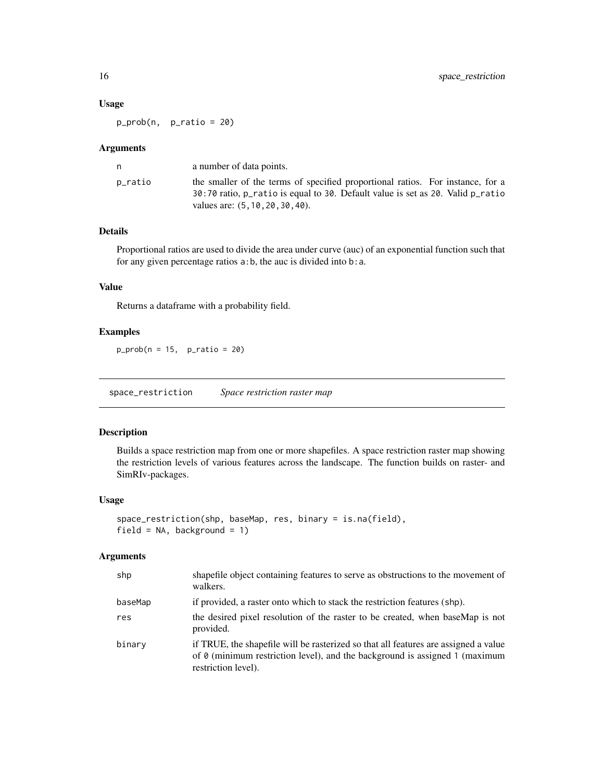# <span id="page-15-0"></span>Usage

p\_prob(n, p\_ratio = 20)

#### Arguments

|         | a number of data points.                                                                                                                                                                             |
|---------|------------------------------------------------------------------------------------------------------------------------------------------------------------------------------------------------------|
| p_ratio | the smaller of the terms of specified proportional ratios. For instance, for a<br>30:70 ratio, p_ratio is equal to 30. Default value is set as 20. Valid p_ratio<br>values are: (5, 10, 20, 30, 40). |

# Details

Proportional ratios are used to divide the area under curve (auc) of an exponential function such that for any given percentage ratios a:b, the auc is divided into b:a.

# Value

Returns a dataframe with a probability field.

# Examples

 $p\_prob(n = 15, p\_ratio = 20)$ 

space\_restriction *Space restriction raster map*

### Description

Builds a space restriction map from one or more shapefiles. A space restriction raster map showing the restriction levels of various features across the landscape. The function builds on raster- and SimRIv-packages.

# Usage

```
space_restriction(shp, baseMap, res, binary = is.na(field),
field = NA, background = 1)
```
#### Arguments

| shp     | shapefile object containing features to serve as obstructions to the movement of<br>walkers.                                                                                                     |
|---------|--------------------------------------------------------------------------------------------------------------------------------------------------------------------------------------------------|
| baseMap | if provided, a raster onto which to stack the restriction features (shp).                                                                                                                        |
| res     | the desired pixel resolution of the raster to be created, when baseMap is not<br>provided.                                                                                                       |
| binary  | if TRUE, the shapefile will be rasterized so that all features are assigned a value<br>of $\theta$ (minimum restriction level), and the background is assigned 1 (maximum<br>restriction level). |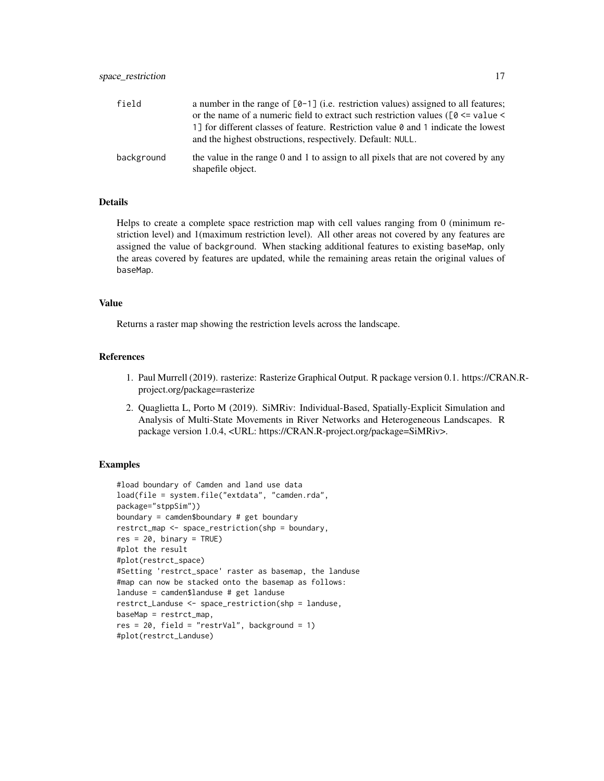# space\_restriction 17

| field      | a number in the range of $[0-1]$ (i.e. restriction values) assigned to all features;<br>or the name of a numeric field to extract such restriction values ( $[0 \le$ value $\le$<br>1] for different classes of feature. Restriction value $\theta$ and 1 indicate the lowest<br>and the highest obstructions, respectively. Default: NULL. |
|------------|---------------------------------------------------------------------------------------------------------------------------------------------------------------------------------------------------------------------------------------------------------------------------------------------------------------------------------------------|
| background | the value in the range 0 and 1 to assign to all pixels that are not covered by any<br>shapefile object.                                                                                                                                                                                                                                     |

# Details

Helps to create a complete space restriction map with cell values ranging from 0 (minimum restriction level) and 1(maximum restriction level). All other areas not covered by any features are assigned the value of background. When stacking additional features to existing baseMap, only the areas covered by features are updated, while the remaining areas retain the original values of baseMap.

# Value

Returns a raster map showing the restriction levels across the landscape.

# References

- 1. Paul Murrell (2019). rasterize: Rasterize Graphical Output. R package version 0.1. https://CRAN.Rproject.org/package=rasterize
- 2. Quaglietta L, Porto M (2019). SiMRiv: Individual-Based, Spatially-Explicit Simulation and Analysis of Multi-State Movements in River Networks and Heterogeneous Landscapes. R package version 1.0.4, <URL: https://CRAN.R-project.org/package=SiMRiv>.

```
#load boundary of Camden and land use data
load(file = system.file("extdata", "camden.rda",
package="stppSim"))
boundary = camden$boundary # get boundary
restrct_map <- space_restriction(shp = boundary,
res = 20, binary = TRUE)
#plot the result
#plot(restrct_space)
#Setting 'restrct_space' raster as basemap, the landuse
#map can now be stacked onto the basemap as follows:
landuse = camden$landuse # get landuse
restrct_Landuse <- space_restriction(shp = landuse,
baseMap = restrct_map,
res = 20, field = "restrVal", background = 1)
#plot(restrct_Landuse)
```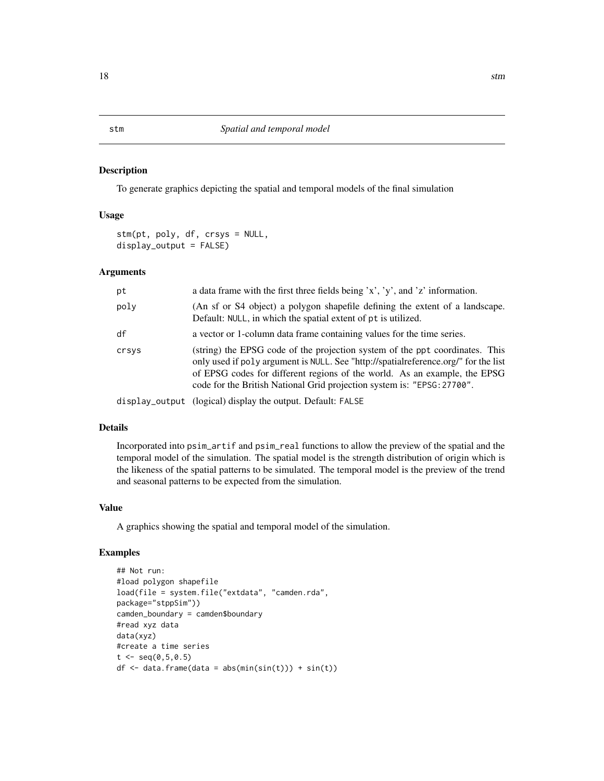To generate graphics depicting the spatial and temporal models of the final simulation

# Usage

stm(pt, poly, df, crsys = NULL, display\_output = FALSE)

#### Arguments

| pt    | a data frame with the first three fields being $x'$ , $y'$ , and $z'$ information.                                                                                                                                                                                                                                          |
|-------|-----------------------------------------------------------------------------------------------------------------------------------------------------------------------------------------------------------------------------------------------------------------------------------------------------------------------------|
| poly  | (An sf or S4 object) a polygon shapefile defining the extent of a landscape.<br>Default: NULL, in which the spatial extent of pt is utilized.                                                                                                                                                                               |
| df    | a vector or 1-column data frame containing values for the time series.                                                                                                                                                                                                                                                      |
| crsys | (string) the EPSG code of the projection system of the ppt coordinates. This<br>only used if poly argument is NULL. See "http://spatialreference.org/" for the list<br>of EPSG codes for different regions of the world. As an example, the EPSG<br>code for the British National Grid projection system is: "EPSG: 27700". |
|       | display_output (logical) display the output. Default: FALSE                                                                                                                                                                                                                                                                 |

#### Details

Incorporated into psim\_artif and psim\_real functions to allow the preview of the spatial and the temporal model of the simulation. The spatial model is the strength distribution of origin which is the likeness of the spatial patterns to be simulated. The temporal model is the preview of the trend and seasonal patterns to be expected from the simulation.

#### Value

A graphics showing the spatial and temporal model of the simulation.

# Examples

```
## Not run:
#load polygon shapefile
load(file = system.file("extdata", "camden.rda",
package="stppSim"))
camden_boundary = camden$boundary
#read xyz data
data(xyz)
#create a time series
t < - seq(0,5,0.5)
df \leftarrow data.frame(data = abs(min(sin(t))) + sin(t))
```
# <span id="page-17-0"></span>18 stm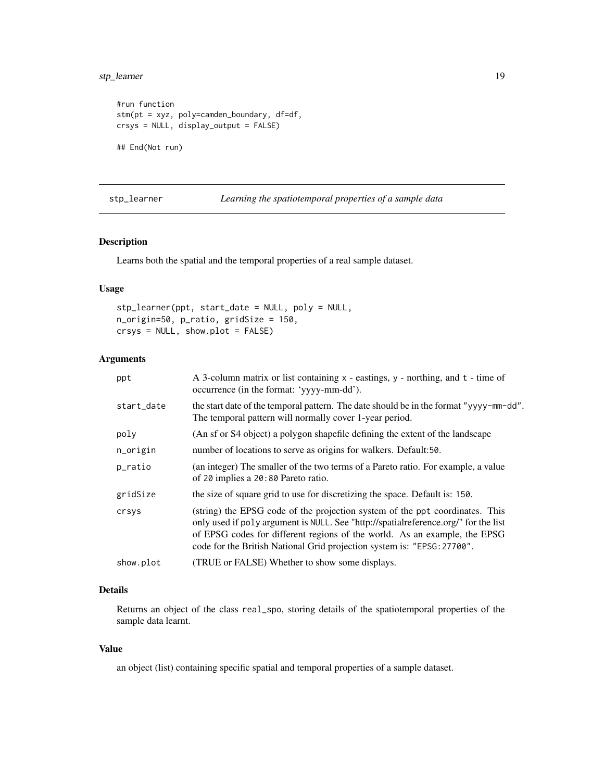# <span id="page-18-0"></span>stp\_learner 19

```
#run function
stm(pt = xyz, poly=camden_boundary, df=df,
crsys = NULL, display_output = FALSE)
## End(Not run)
```
# stp\_learner *Learning the spatiotemporal properties of a sample data*

#### Description

Learns both the spatial and the temporal properties of a real sample dataset.

# Usage

```
stp_learner(ppt, start_date = NULL, poly = NULL,
n_origin=50, p_ratio, gridSize = 150,
crsys = NULL, show.plot = FALSE)
```
# Arguments

| ppt        | A 3-column matrix or list containing x - eastings, y - northing, and t - time of<br>occurrence (in the format: 'yyyy-mm-dd').                                                                                                                                                                                               |
|------------|-----------------------------------------------------------------------------------------------------------------------------------------------------------------------------------------------------------------------------------------------------------------------------------------------------------------------------|
| start_date | the start date of the temporal pattern. The date should be in the format "yyyy-mm-dd".<br>The temporal pattern will normally cover 1-year period.                                                                                                                                                                           |
| poly       | (An sf or S4 object) a polygon shapefile defining the extent of the landscape                                                                                                                                                                                                                                               |
| n_origin   | number of locations to serve as origins for walkers. Default:50.                                                                                                                                                                                                                                                            |
| p_ratio    | (an integer) The smaller of the two terms of a Pareto ratio. For example, a value<br>of 20 implies a 20:80 Pareto ratio.                                                                                                                                                                                                    |
| gridSize   | the size of square grid to use for discretizing the space. Default is: 150.                                                                                                                                                                                                                                                 |
| crsys      | (string) the EPSG code of the projection system of the ppt coordinates. This<br>only used if poly argument is NULL. See "http://spatialreference.org/" for the list<br>of EPSG codes for different regions of the world. As an example, the EPSG<br>code for the British National Grid projection system is: "EPSG: 27700". |
| show.plot  | (TRUE or FALSE) Whether to show some displays.                                                                                                                                                                                                                                                                              |

# Details

Returns an object of the class real\_spo, storing details of the spatiotemporal properties of the sample data learnt.

#### Value

an object (list) containing specific spatial and temporal properties of a sample dataset.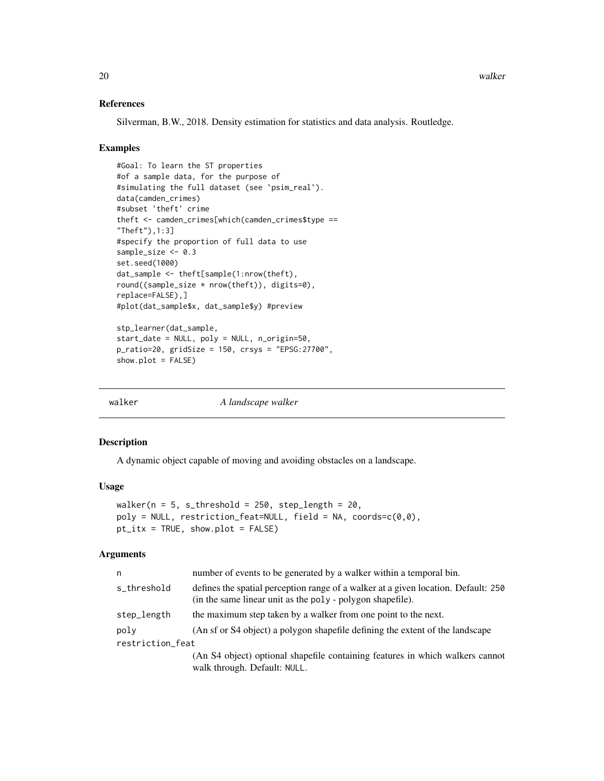# References

Silverman, B.W., 2018. Density estimation for statistics and data analysis. Routledge.

# Examples

```
#Goal: To learn the ST properties
#of a sample data, for the purpose of
#simulating the full dataset (see `psim_real`).
data(camden_crimes)
#subset 'theft' crime
theft <- camden_crimes[which(camden_crimes$type ==
"Theft"),1:3]
#specify the proportion of full data to use
sample_size <- 0.3
set.seed(1000)
dat_sample <- theft[sample(1:nrow(theft),
round((sample_size * nrow(theft)), digits=0),
replace=FALSE),]
#plot(dat_sample$x, dat_sample$y) #preview
stp_learner(dat_sample,
```

```
start_date = NULL, poly = NULL, n_origin=50,
p_ratio=20, gridSize = 150, crsys = "EPSG:27700",
show.plot = FALSE)
```

| walker | A landscape walker |  |
|--------|--------------------|--|
|        |                    |  |

#### Description

A dynamic object capable of moving and avoiding obstacles on a landscape.

#### Usage

```
walker(n = 5, s_threshold = 250, step_length = 20,
poly = NULL, restriction_feat=NULL, field = NA, coords=c(0,0),
pt_itx = TRUE, show.plot = FALSE)
```
### Arguments

| n                | number of events to be generated by a walker within a temporal bin.                                                                              |
|------------------|--------------------------------------------------------------------------------------------------------------------------------------------------|
| s_threshold      | defines the spatial perception range of a walker at a given location. Default: 250<br>(in the same linear unit as the poly - polygon shapefile). |
| step_length      | the maximum step taken by a walker from one point to the next.                                                                                   |
| poly             | (An sf or S4 object) a polygon shapefile defining the extent of the landscape                                                                    |
| restriction_feat |                                                                                                                                                  |
|                  | (An S4 object) optional shapefile containing features in which walkers cannot<br>walk through. Default: NULL.                                    |

<span id="page-19-0"></span>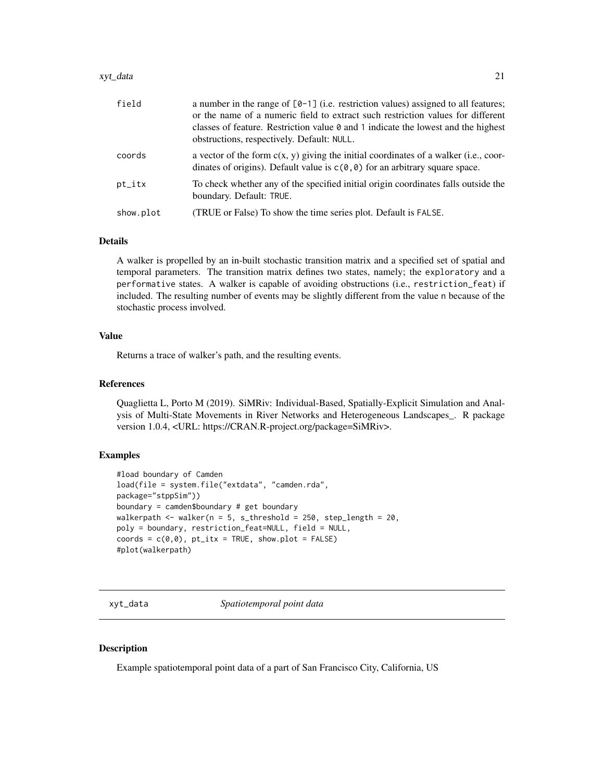#### <span id="page-20-0"></span>xyt\_data 21

| field     | a number in the range of $[0-1]$ (i.e. restriction values) assigned to all features;<br>or the name of a numeric field to extract such restriction values for different<br>classes of feature. Restriction value $\theta$ and 1 indicate the lowest and the highest<br>obstructions, respectively. Default: NULL. |
|-----------|-------------------------------------------------------------------------------------------------------------------------------------------------------------------------------------------------------------------------------------------------------------------------------------------------------------------|
| coords    | a vector of the form $c(x, y)$ giving the initial coordinates of a walker (i.e., coor-<br>dinates of origins). Default value is $c(0, 0)$ for an arbitrary square space.                                                                                                                                          |
| pt_itx    | To check whether any of the specified initial origin coordinates falls outside the<br>boundary. Default: TRUE.                                                                                                                                                                                                    |
| show.plot | (TRUE or False) To show the time series plot. Default is FALSE.                                                                                                                                                                                                                                                   |

# Details

A walker is propelled by an in-built stochastic transition matrix and a specified set of spatial and temporal parameters. The transition matrix defines two states, namely; the exploratory and a performative states. A walker is capable of avoiding obstructions (i.e., restriction\_feat) if included. The resulting number of events may be slightly different from the value n because of the stochastic process involved.

# Value

Returns a trace of walker's path, and the resulting events.

# References

Quaglietta L, Porto M (2019). SiMRiv: Individual-Based, Spatially-Explicit Simulation and Analysis of Multi-State Movements in River Networks and Heterogeneous Landscapes\_. R package version 1.0.4, <URL: https://CRAN.R-project.org/package=SiMRiv>.

# Examples

```
#load boundary of Camden
load(file = system.file("extdata", "camden.rda",
package="stppSim"))
boundary = camden$boundary # get boundary
walkerpath \leq walker(n = 5, s_threshold = 250, step_length = 20,
poly = boundary, restriction_feat=NULL, field = NULL,
coords = c(\emptyset, \emptyset), pt\_itx = TRUE, show.plot = FALSE)
#plot(walkerpath)
```
xyt\_data *Spatiotemporal point data*

#### Description

Example spatiotemporal point data of a part of San Francisco City, California, US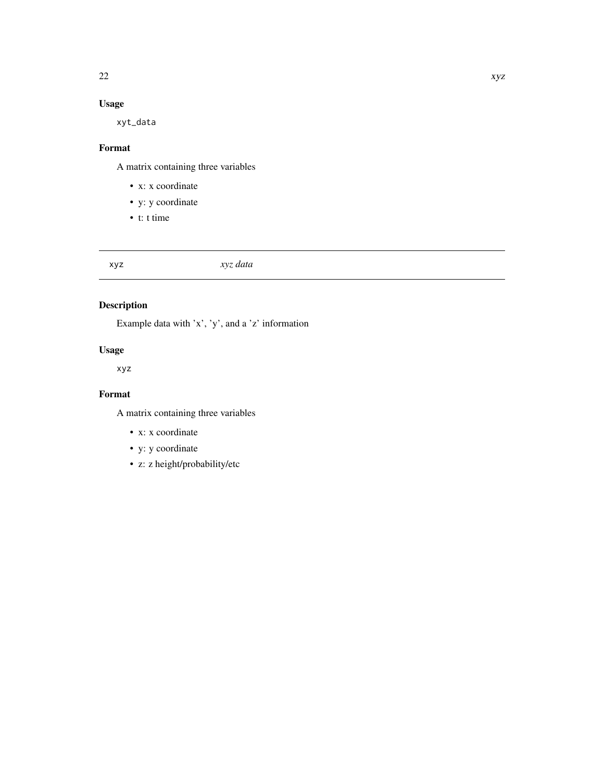# <span id="page-21-0"></span>Usage

xyt\_data

# Format

A matrix containing three variables

- x: x coordinate
- y: y coordinate
- t: t time

# xyz *xyz data*

# Description

Example data with 'x', 'y', and a 'z' information

# Usage

xyz

# Format

A matrix containing three variables

- x: x coordinate
- y: y coordinate
- z: z height/probability/etc